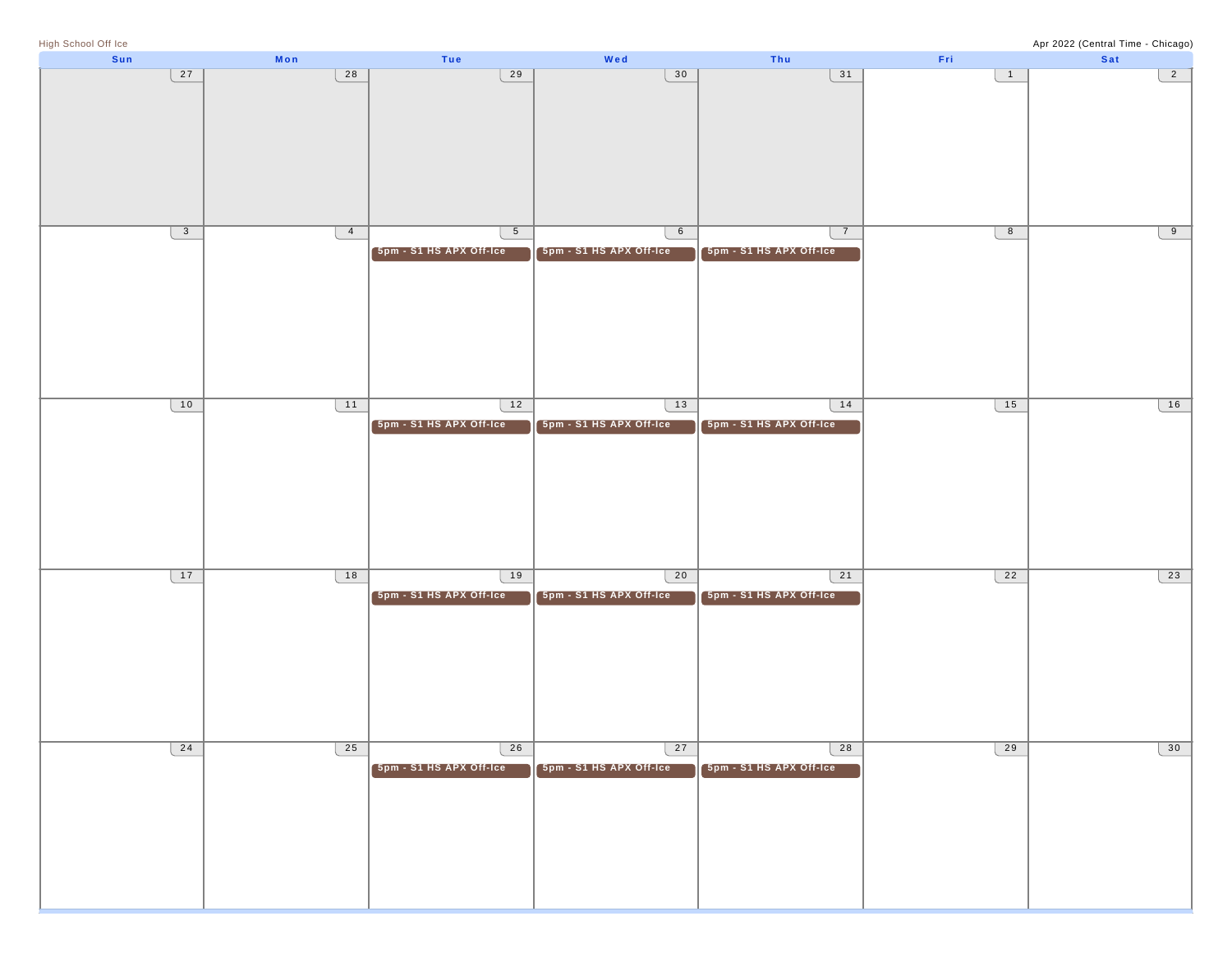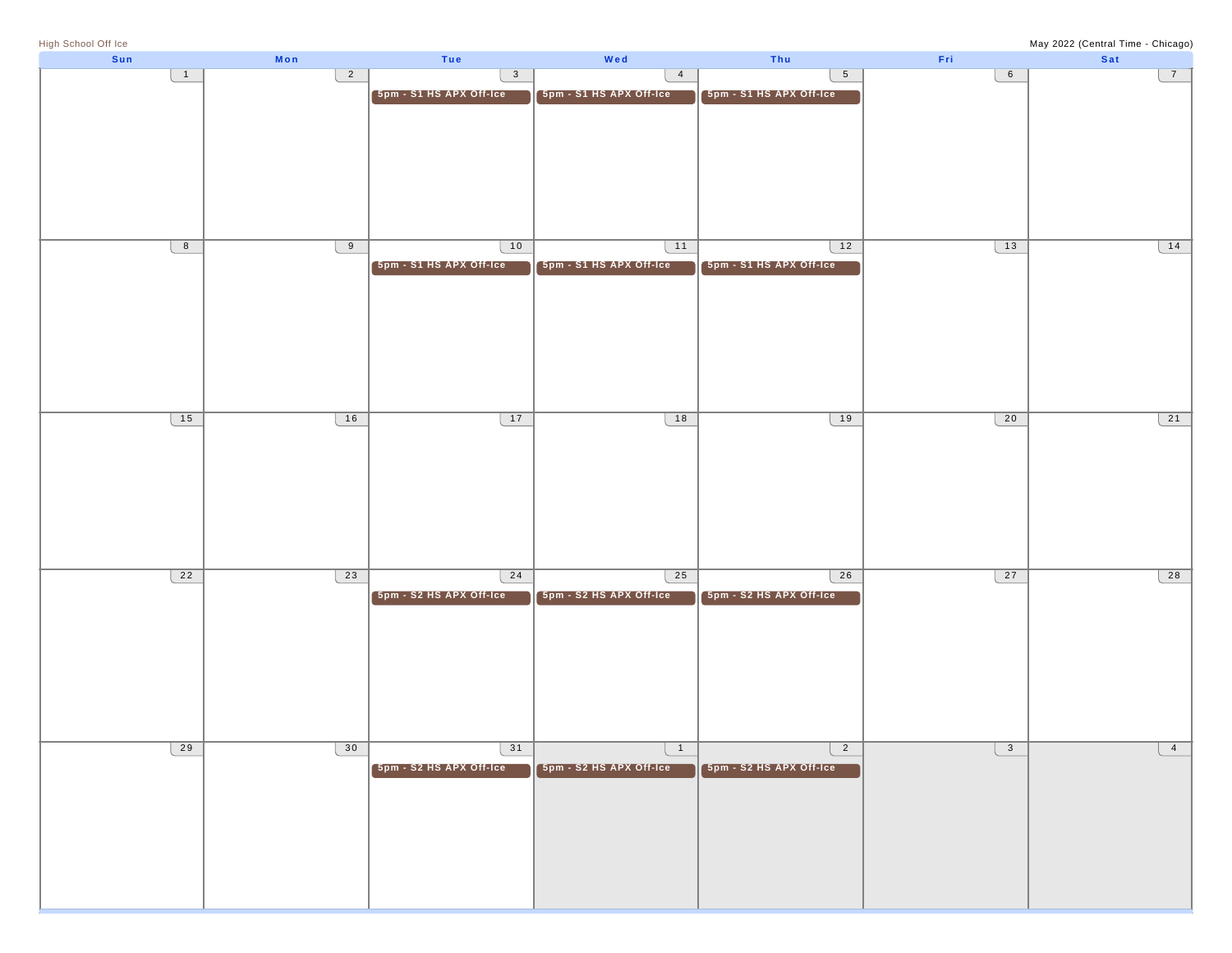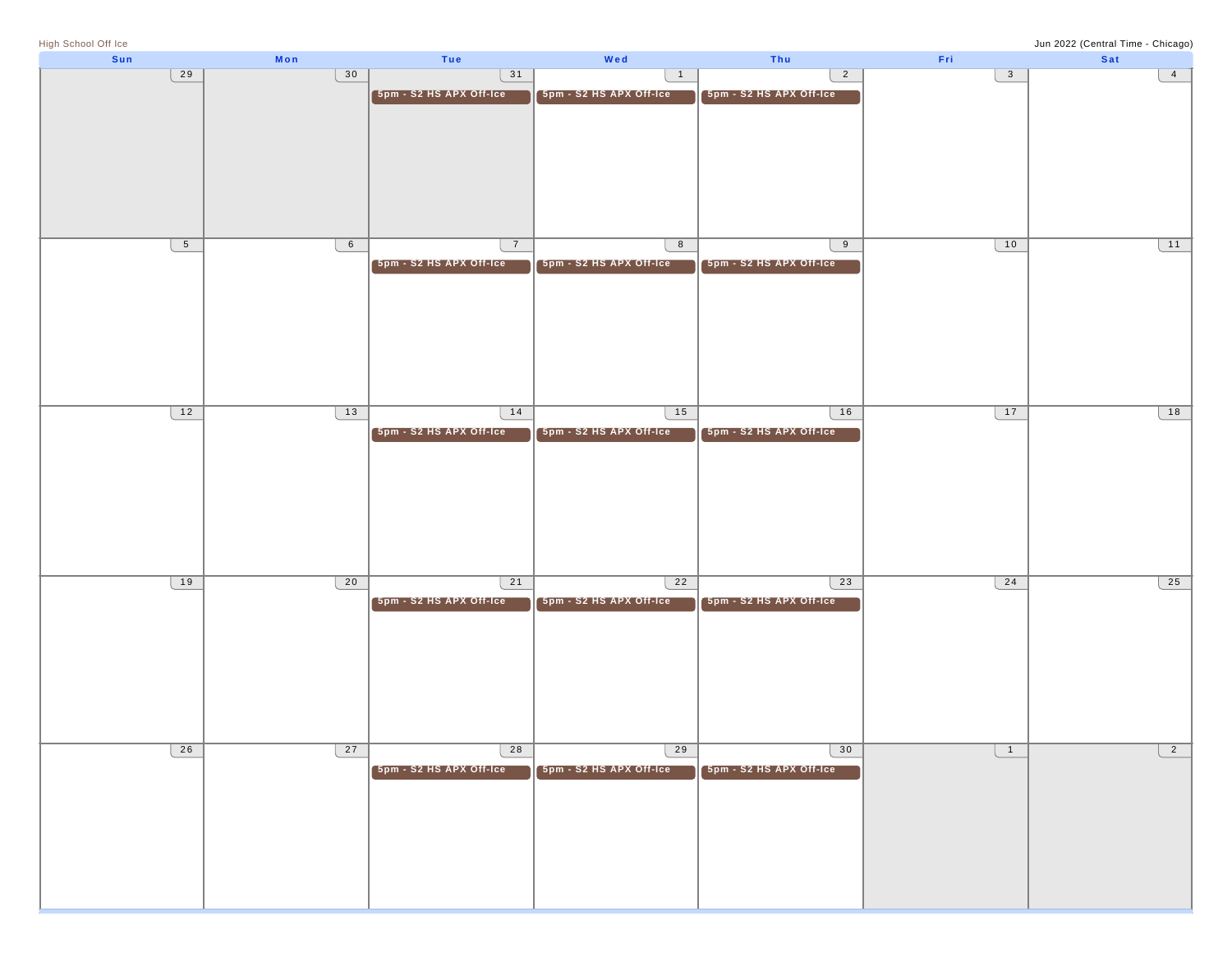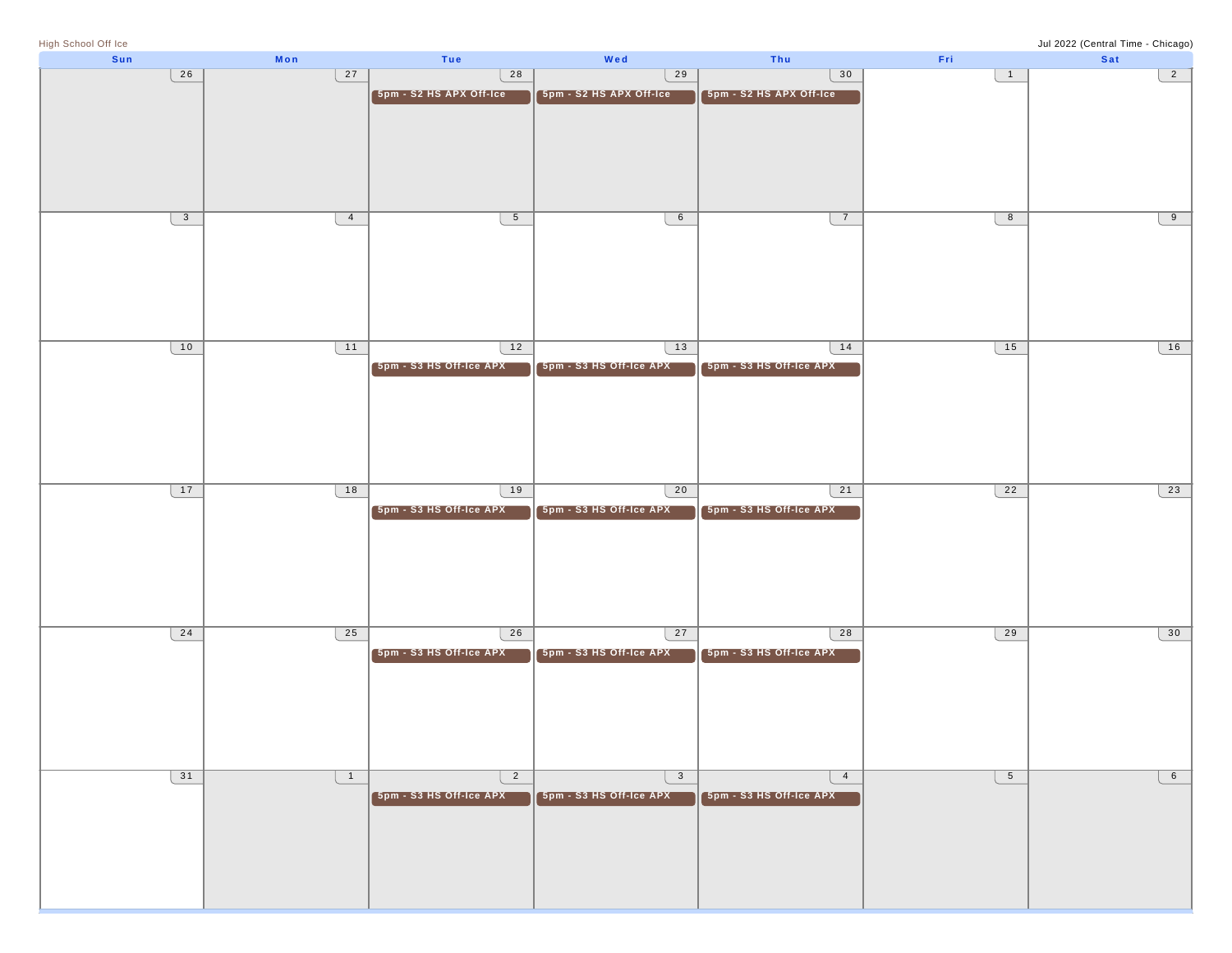| High School Off Ice |              |                |                         |                         |                         |                 | Jul 2022 (Central Time - Chicago) |
|---------------------|--------------|----------------|-------------------------|-------------------------|-------------------------|-----------------|-----------------------------------|
| Sun                 |              | Mon            | Tue                     | Wed                     | Thu                     | Fri             | Sat                               |
|                     | 26           | 27             | 28                      | 29                      | 30                      | $\overline{1}$  | $\overline{2}$                    |
|                     |              |                |                         |                         |                         |                 |                                   |
|                     |              |                | 5pm - S2 HS APX Off-Ice | 5pm - S2 HS APX Off-Ice | 5pm - S2 HS APX Off-Ice |                 |                                   |
|                     |              |                |                         |                         |                         |                 |                                   |
|                     |              |                |                         |                         |                         |                 |                                   |
|                     |              |                |                         |                         |                         |                 |                                   |
|                     |              |                |                         |                         |                         |                 |                                   |
|                     |              |                |                         |                         |                         |                 |                                   |
|                     |              |                |                         |                         |                         |                 |                                   |
|                     |              |                |                         |                         |                         |                 |                                   |
|                     |              |                |                         |                         |                         |                 |                                   |
|                     | $\mathbf{3}$ | $\overline{4}$ | 5 <sub>5</sub>          | $6\overline{6}$         | $\overline{7}$          | 8               | $\overline{9}$                    |
|                     |              |                |                         |                         |                         |                 |                                   |
|                     |              |                |                         |                         |                         |                 |                                   |
|                     |              |                |                         |                         |                         |                 |                                   |
|                     |              |                |                         |                         |                         |                 |                                   |
|                     |              |                |                         |                         |                         |                 |                                   |
|                     |              |                |                         |                         |                         |                 |                                   |
|                     |              |                |                         |                         |                         |                 |                                   |
|                     |              |                |                         |                         |                         |                 |                                   |
|                     |              |                |                         |                         |                         |                 |                                   |
|                     | 10           | $-11$          | 12                      | 13                      | 14                      | 15              | $\overline{16}$                   |
|                     |              |                |                         |                         |                         |                 |                                   |
|                     |              |                | 5pm - S3 HS Off-Ice APX | 5pm - S3 HS Off-Ice APX | 5pm - S3 HS Off-Ice APX |                 |                                   |
|                     |              |                |                         |                         |                         |                 |                                   |
|                     |              |                |                         |                         |                         |                 |                                   |
|                     |              |                |                         |                         |                         |                 |                                   |
|                     |              |                |                         |                         |                         |                 |                                   |
|                     |              |                |                         |                         |                         |                 |                                   |
|                     |              |                |                         |                         |                         |                 |                                   |
|                     |              |                |                         |                         |                         |                 |                                   |
|                     |              |                |                         |                         |                         |                 |                                   |
|                     |              |                |                         |                         |                         |                 |                                   |
|                     | 17           | 18             | 19                      | 20                      | 21                      | 22              | 23                                |
|                     |              |                | 5pm - S3 HS Off-Ice APX | 5pm - S3 HS Off-Ice APX | 5pm - S3 HS Off-Ice APX |                 |                                   |
|                     |              |                |                         |                         |                         |                 |                                   |
|                     |              |                |                         |                         |                         |                 |                                   |
|                     |              |                |                         |                         |                         |                 |                                   |
|                     |              |                |                         |                         |                         |                 |                                   |
|                     |              |                |                         |                         |                         |                 |                                   |
|                     |              |                |                         |                         |                         |                 |                                   |
|                     |              |                |                         |                         |                         |                 |                                   |
|                     |              |                |                         |                         |                         |                 |                                   |
|                     |              |                |                         |                         |                         |                 |                                   |
|                     | 24           | 25             | 26                      | 27                      | 28                      | 29              | 30                                |
|                     |              |                |                         |                         |                         |                 |                                   |
|                     |              |                | 5pm - S3 HS Off-Ice APX | 5pm - S3 HS Off-Ice APX | 5pm - S3 HS Off-Ice APX |                 |                                   |
|                     |              |                |                         |                         |                         |                 |                                   |
|                     |              |                |                         |                         |                         |                 |                                   |
|                     |              |                |                         |                         |                         |                 |                                   |
|                     |              |                |                         |                         |                         |                 |                                   |
|                     |              |                |                         |                         |                         |                 |                                   |
|                     |              |                |                         |                         |                         |                 |                                   |
|                     |              |                |                         |                         |                         |                 |                                   |
|                     |              |                |                         |                         |                         |                 |                                   |
|                     | 31           | $\overline{1}$ | $\overline{2}$          | $\mathbf{3}$            | $\overline{4}$          | $5\overline{)}$ | 6                                 |
|                     |              |                |                         |                         |                         |                 |                                   |
|                     |              |                | 5pm - S3 HS Off-Ice APX | 5pm - S3 HS Off-Ice APX | 5pm - S3 HS Off-Ice APX |                 |                                   |
|                     |              |                |                         |                         |                         |                 |                                   |
|                     |              |                |                         |                         |                         |                 |                                   |
|                     |              |                |                         |                         |                         |                 |                                   |
|                     |              |                |                         |                         |                         |                 |                                   |
|                     |              |                |                         |                         |                         |                 |                                   |
|                     |              |                |                         |                         |                         |                 |                                   |
|                     |              |                |                         |                         |                         |                 |                                   |
|                     |              |                |                         |                         |                         |                 |                                   |
|                     |              |                |                         |                         |                         |                 |                                   |